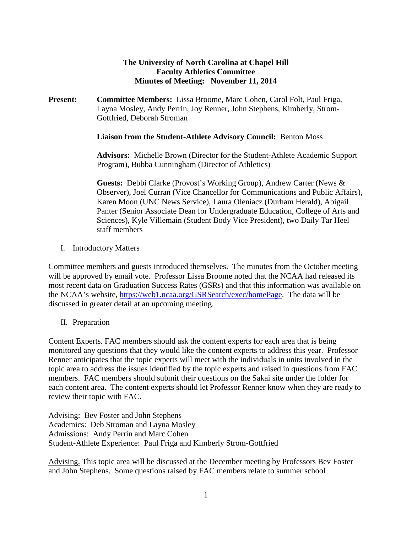## **The University of North Carolina at Chapel Hill Faculty Athletics Committee Minutes of Meeting: November 11, 2014**

**Present: Committee Members:** Lissa Broome, Marc Cohen, Carol Folt, Paul Friga, Layna Mosley, Andy Perrin, Joy Renner, John Stephens, Kimberly, Strom-Gottfried, Deborah Stroman

### **Liaison from the Student-Athlete Advisory Council:** Benton Moss

**Advisors:** Michelle Brown (Director for the Student-Athlete Academic Support Program), Bubba Cunningham (Director of Athletics)

**Guests:** Debbi Clarke (Provost's Working Group), Andrew Carter (News & Observer), Joel Curran (Vice Chancellor for Communications and Public Affairs), Karen Moon (UNC News Service), Laura Oleniacz (Durham Herald), Abigail Panter (Senior Associate Dean for Undergraduate Education, College of Arts and Sciences), Kyle Villemain (Student Body Vice President), two Daily Tar Heel staff members

I. Introductory Matters

Committee members and guests introduced themselves. The minutes from the October meeting will be approved by email vote. Professor Lissa Broome noted that the NCAA had released its most recent data on Graduation Success Rates (GSRs) and that this information was available on the NCAA's website, [https://web1.ncaa.org/GSRSearch/exec/homePage.](https://web1.ncaa.org/GSRSearch/exec/homePage) The data will be discussed in greater detail at an upcoming meeting.

II. Preparation

Content Experts. FAC members should ask the content experts for each area that is being monitored any questions that they would like the content experts to address this year. Professor Renner anticipates that the topic experts will meet with the individuals in units involved in the topic area to address the issues identified by the topic experts and raised in questions from FAC members. FAC members should submit their questions on the Sakai site under the folder for each content area. The content experts should let Professor Renner know when they are ready to review their topic with FAC.

Advising: Bev Foster and John Stephens Academics: Deb Stroman and Layna Mosley Admissions: Andy Perrin and Marc Cohen Student-Athlete Experience: Paul Friga and Kimberly Strom-Gottfried

Advising. This topic area will be discussed at the December meeting by Professors Bev Foster and John Stephens. Some questions raised by FAC members relate to summer school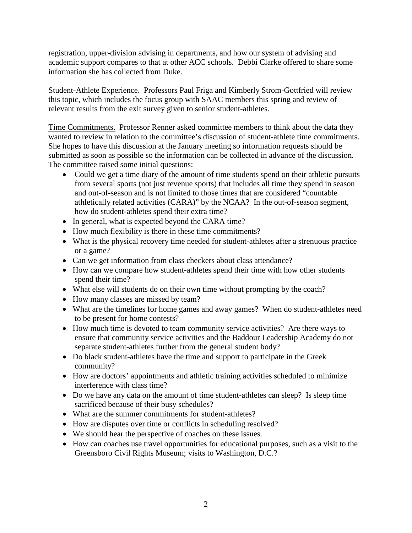registration, upper-division advising in departments, and how our system of advising and academic support compares to that at other ACC schools. Debbi Clarke offered to share some information she has collected from Duke.

Student-Athlete Experience. Professors Paul Friga and Kimberly Strom-Gottfried will review this topic, which includes the focus group with SAAC members this spring and review of relevant results from the exit survey given to senior student-athletes.

Time Commitments. Professor Renner asked committee members to think about the data they wanted to review in relation to the committee's discussion of student-athlete time commitments. She hopes to have this discussion at the January meeting so information requests should be submitted as soon as possible so the information can be collected in advance of the discussion. The committee raised some initial questions:

- Could we get a time diary of the amount of time students spend on their athletic pursuits from several sports (not just revenue sports) that includes all time they spend in season and out-of-season and is not limited to those times that are considered "countable athletically related activities (CARA)" by the NCAA? In the out-of-season segment, how do student-athletes spend their extra time?
- In general, what is expected beyond the CARA time?
- How much flexibility is there in these time commitments?
- What is the physical recovery time needed for student-athletes after a strenuous practice or a game?
- Can we get information from class checkers about class attendance?
- How can we compare how student-athletes spend their time with how other students spend their time?
- What else will students do on their own time without prompting by the coach?
- How many classes are missed by team?
- What are the timelines for home games and away games? When do student-athletes need to be present for home contests?
- How much time is devoted to team community service activities? Are there ways to ensure that community service activities and the Baddour Leadership Academy do not separate student-athletes further from the general student body?
- Do black student-athletes have the time and support to participate in the Greek community?
- How are doctors' appointments and athletic training activities scheduled to minimize interference with class time?
- Do we have any data on the amount of time student-athletes can sleep? Is sleep time sacrificed because of their busy schedules?
- What are the summer commitments for student-athletes?
- How are disputes over time or conflicts in scheduling resolved?
- We should hear the perspective of coaches on these issues.
- How can coaches use travel opportunities for educational purposes, such as a visit to the Greensboro Civil Rights Museum; visits to Washington, D.C.?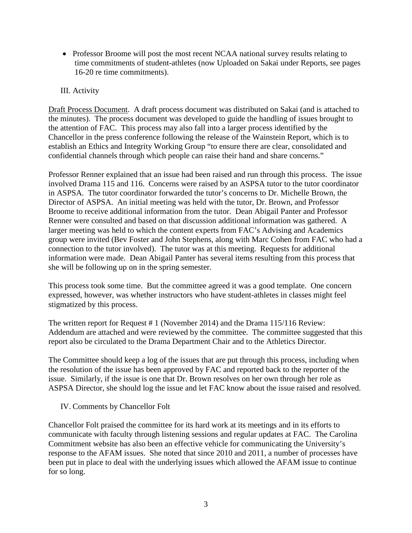• Professor Broome will post the most recent NCAA national survey results relating to time commitments of student-athletes (now Uploaded on Sakai under Reports, see pages 16-20 re time commitments).

# III. Activity

Draft Process Document. A draft process document was distributed on Sakai (and is attached to the minutes). The process document was developed to guide the handling of issues brought to the attention of FAC. This process may also fall into a larger process identified by the Chancellor in the press conference following the release of the Wainstein Report, which is to establish an Ethics and Integrity Working Group "to ensure there are clear, consolidated and confidential channels through which people can raise their hand and share concerns."

Professor Renner explained that an issue had been raised and run through this process. The issue involved Drama 115 and 116. Concerns were raised by an ASPSA tutor to the tutor coordinator in ASPSA. The tutor coordinator forwarded the tutor's concerns to Dr. Michelle Brown, the Director of ASPSA. An initial meeting was held with the tutor, Dr. Brown, and Professor Broome to receive additional information from the tutor. Dean Abigail Panter and Professor Renner were consulted and based on that discussion additional information was gathered. A larger meeting was held to which the content experts from FAC's Advising and Academics group were invited (Bev Foster and John Stephens, along with Marc Cohen from FAC who had a connection to the tutor involved). The tutor was at this meeting. Requests for additional information were made. Dean Abigail Panter has several items resulting from this process that she will be following up on in the spring semester.

This process took some time. But the committee agreed it was a good template. One concern expressed, however, was whether instructors who have student-athletes in classes might feel stigmatized by this process.

The written report for Request # 1 (November 2014) and the Drama 115/116 Review: Addendum are attached and were reviewed by the committee. The committee suggested that this report also be circulated to the Drama Department Chair and to the Athletics Director.

The Committee should keep a log of the issues that are put through this process, including when the resolution of the issue has been approved by FAC and reported back to the reporter of the issue. Similarly, if the issue is one that Dr. Brown resolves on her own through her role as ASPSA Director, she should log the issue and let FAC know about the issue raised and resolved.

IV. Comments by Chancellor Folt

Chancellor Folt praised the committee for its hard work at its meetings and in its efforts to communicate with faculty through listening sessions and regular updates at FAC. The Carolina Commitment website has also been an effective vehicle for communicating the University's response to the AFAM issues. She noted that since 2010 and 2011, a number of processes have been put in place to deal with the underlying issues which allowed the AFAM issue to continue for so long.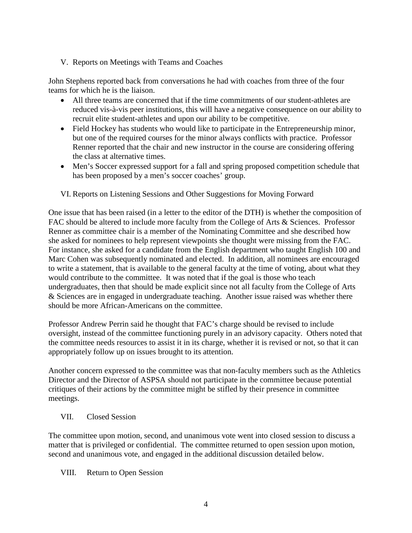## V. Reports on Meetings with Teams and Coaches

John Stephens reported back from conversations he had with coaches from three of the four teams for which he is the liaison.

- All three teams are concerned that if the time commitments of our student-athletes are reduced vis-à-vis peer institutions, this will have a negative consequence on our ability to recruit elite student-athletes and upon our ability to be competitive.
- Field Hockey has students who would like to participate in the Entrepreneurship minor, but one of the required courses for the minor always conflicts with practice. Professor Renner reported that the chair and new instructor in the course are considering offering the class at alternative times.
- Men's Soccer expressed support for a fall and spring proposed competition schedule that has been proposed by a men's soccer coaches' group.

# VI. Reports on Listening Sessions and Other Suggestions for Moving Forward

One issue that has been raised (in a letter to the editor of the DTH) is whether the composition of FAC should be altered to include more faculty from the College of Arts & Sciences. Professor Renner as committee chair is a member of the Nominating Committee and she described how she asked for nominees to help represent viewpoints she thought were missing from the FAC. For instance, she asked for a candidate from the English department who taught English 100 and Marc Cohen was subsequently nominated and elected. In addition, all nominees are encouraged to write a statement, that is available to the general faculty at the time of voting, about what they would contribute to the committee. It was noted that if the goal is those who teach undergraduates, then that should be made explicit since not all faculty from the College of Arts & Sciences are in engaged in undergraduate teaching. Another issue raised was whether there should be more African-Americans on the committee.

Professor Andrew Perrin said he thought that FAC's charge should be revised to include oversight, instead of the committee functioning purely in an advisory capacity. Others noted that the committee needs resources to assist it in its charge, whether it is revised or not, so that it can appropriately follow up on issues brought to its attention.

Another concern expressed to the committee was that non-faculty members such as the Athletics Director and the Director of ASPSA should not participate in the committee because potential critiques of their actions by the committee might be stifled by their presence in committee meetings.

### VII. Closed Session

The committee upon motion, second, and unanimous vote went into closed session to discuss a matter that is privileged or confidential. The committee returned to open session upon motion, second and unanimous vote, and engaged in the additional discussion detailed below.

### VIII. Return to Open Session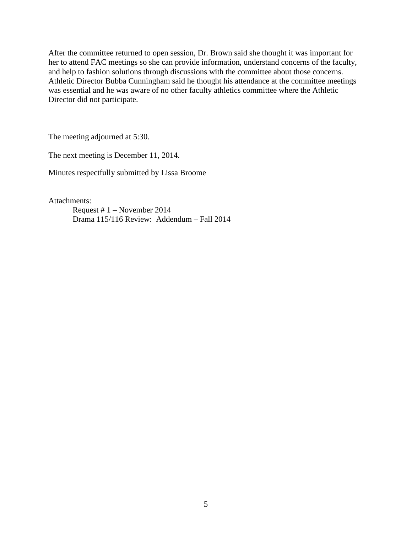After the committee returned to open session, Dr. Brown said she thought it was important for her to attend FAC meetings so she can provide information, understand concerns of the faculty, and help to fashion solutions through discussions with the committee about those concerns. Athletic Director Bubba Cunningham said he thought his attendance at the committee meetings was essential and he was aware of no other faculty athletics committee where the Athletic Director did not participate.

The meeting adjourned at 5:30.

The next meeting is December 11, 2014.

Minutes respectfully submitted by Lissa Broome

Attachments:

Request # 1 – November 2014 Drama 115/116 Review: Addendum – Fall 2014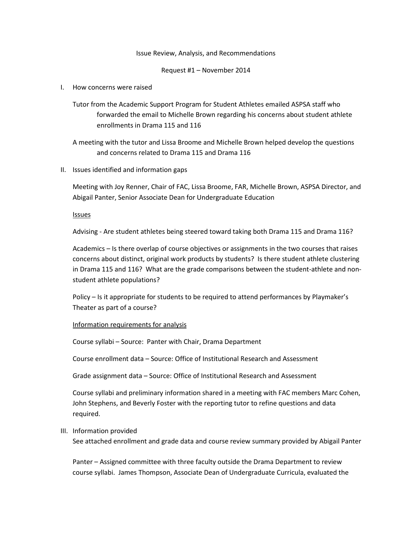#### Issue Review, Analysis, and Recommendations

Request #1 – November 2014

I. How concerns were raised

Tutor from the Academic Support Program for Student Athletes emailed ASPSA staff who forwarded the email to Michelle Brown regarding his concerns about student athlete enrollments in Drama 115 and 116

A meeting with the tutor and Lissa Broome and Michelle Brown helped develop the questions and concerns related to Drama 115 and Drama 116

II. Issues identified and information gaps

Meeting with Joy Renner, Chair of FAC, Lissa Broome, FAR, Michelle Brown, ASPSA Director, and Abigail Panter, Senior Associate Dean for Undergraduate Education

Issues

Advising - Are student athletes being steered toward taking both Drama 115 and Drama 116?

Academics – Is there overlap of course objectives or assignments in the two courses that raises concerns about distinct, original work products by students? Is there student athlete clustering in Drama 115 and 116? What are the grade comparisons between the student-athlete and nonstudent athlete populations?

Policy – Is it appropriate for students to be required to attend performances by Playmaker's Theater as part of a course?

#### Information requirements for analysis

Course syllabi – Source: Panter with Chair, Drama Department

Course enrollment data – Source: Office of Institutional Research and Assessment

Grade assignment data – Source: Office of Institutional Research and Assessment

Course syllabi and preliminary information shared in a meeting with FAC members Marc Cohen, John Stephens, and Beverly Foster with the reporting tutor to refine questions and data required.

III. Information provided

See attached enrollment and grade data and course review summary provided by Abigail Panter

Panter – Assigned committee with three faculty outside the Drama Department to review course syllabi. James Thompson, Associate Dean of Undergraduate Curricula, evaluated the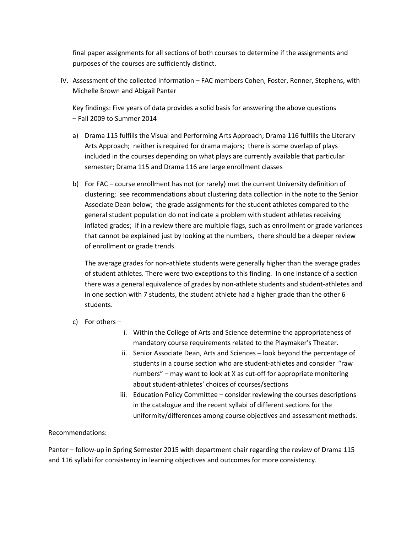final paper assignments for all sections of both courses to determine if the assignments and purposes of the courses are sufficiently distinct.

IV. Assessment of the collected information – FAC members Cohen, Foster, Renner, Stephens, with Michelle Brown and Abigail Panter

Key findings: Five years of data provides a solid basis for answering the above questions – Fall 2009 to Summer 2014

- a) Drama 115 fulfills the Visual and Performing Arts Approach; Drama 116 fulfills the Literary Arts Approach; neither is required for drama majors; there is some overlap of plays included in the courses depending on what plays are currently available that particular semester; Drama 115 and Drama 116 are large enrollment classes
- b) For FAC course enrollment has not (or rarely) met the current University definition of clustering; see recommendations about clustering data collection in the note to the Senior Associate Dean below; the grade assignments for the student athletes compared to the general student population do not indicate a problem with student athletes receiving inflated grades; if in a review there are multiple flags, such as enrollment or grade variances that cannot be explained just by looking at the numbers, there should be a deeper review of enrollment or grade trends.

The average grades for non-athlete students were generally higher than the average grades of student athletes. There were two exceptions to this finding. In one instance of a section there was a general equivalence of grades by non-athlete students and student-athletes and in one section with 7 students, the student athlete had a higher grade than the other 6 students.

- c) For others
	- i. Within the College of Arts and Science determine the appropriateness of mandatory course requirements related to the Playmaker's Theater.
	- ii. Senior Associate Dean, Arts and Sciences look beyond the percentage of students in a course section who are student-athletes and consider "raw numbers" – may want to look at X as cut-off for appropriate monitoring about student-athletes' choices of courses/sections
	- iii. Education Policy Committee consider reviewing the courses descriptions in the catalogue and the recent syllabi of different sections for the uniformity/differences among course objectives and assessment methods.

### Recommendations:

Panter – follow-up in Spring Semester 2015 with department chair regarding the review of Drama 115 and 116 syllabi for consistency in learning objectives and outcomes for more consistency.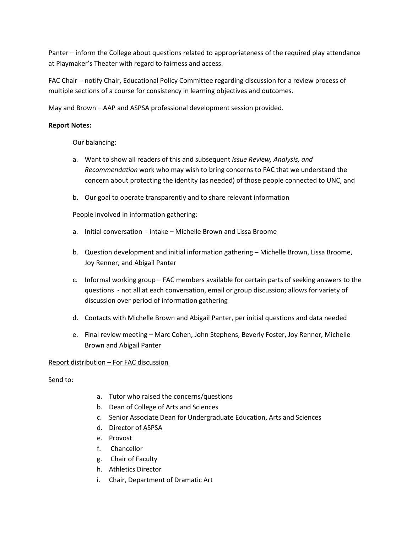Panter – inform the College about questions related to appropriateness of the required play attendance at Playmaker's Theater with regard to fairness and access.

FAC Chair - notify Chair, Educational Policy Committee regarding discussion for a review process of multiple sections of a course for consistency in learning objectives and outcomes.

May and Brown – AAP and ASPSA professional development session provided.

### **Report Notes:**

Our balancing:

- a. Want to show all readers of this and subsequent *Issue Review, Analysis, and Recommendation* work who may wish to bring concerns to FAC that we understand the concern about protecting the identity (as needed) of those people connected to UNC, and
- b. Our goal to operate transparently and to share relevant information

People involved in information gathering:

- a. Initial conversation intake Michelle Brown and Lissa Broome
- b. Question development and initial information gathering Michelle Brown, Lissa Broome, Joy Renner, and Abigail Panter
- c. Informal working group FAC members available for certain parts of seeking answers to the questions - not all at each conversation, email or group discussion; allows for variety of discussion over period of information gathering
- d. Contacts with Michelle Brown and Abigail Panter, per initial questions and data needed
- e. Final review meeting Marc Cohen, John Stephens, Beverly Foster, Joy Renner, Michelle Brown and Abigail Panter

### Report distribution – For FAC discussion

Send to:

- a. Tutor who raised the concerns/questions
- b. Dean of College of Arts and Sciences
- c. Senior Associate Dean for Undergraduate Education, Arts and Sciences
- d. Director of ASPSA
- e. Provost
- f. Chancellor
- g. Chair of Faculty
- h. Athletics Director
- i. Chair, Department of Dramatic Art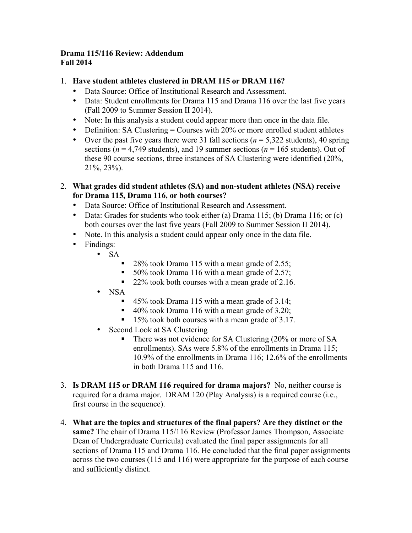# **Drama 115/116 Review: Addendum Fall 2014**

# 1. **Have student athletes clustered in DRAM 115 or DRAM 116?**

- Data Source: Office of Institutional Research and Assessment.
- Data: Student enrollments for Drama 115 and Drama 116 over the last five years (Fall 2009 to Summer Session II 2014).
- Note: In this analysis a student could appear more than once in the data file.
- Definition: SA Clustering  $=$  Courses with 20% or more enrolled student athletes
- Over the past five years there were 31 fall sections  $(n = 5,322$  students), 40 spring sections  $(n = 4,749$  students), and 19 summer sections  $(n = 165$  students). Out of these 90 course sections, three instances of SA Clustering were identified (20%, 21%, 23%).
- 2. **What grades did student athletes (SA) and non-student athletes (NSA) receive for Drama 115, Drama 116, or both courses?** 
	- Data Source: Office of Institutional Research and Assessment.
	- Data: Grades for students who took either (a) Drama 115; (b) Drama 116; or (c) both courses over the last five years (Fall 2009 to Summer Session II 2014).
	- Note. In this analysis a student could appear only once in the data file.
	- Findings:
		- SA
			- 28% took Drama 115 with a mean grade of 2.55;
			- 50% took Drama 116 with a mean grade of 2.57;
			- 22% took both courses with a mean grade of 2.16.
			- NSA
				- 45% took Drama 115 with a mean grade of 3.14;
				- 40% took Drama 116 with a mean grade of 3.20;
				- 15% took both courses with a mean grade of 3.17.
			- Second Look at SA Clustering
				- There was not evidence for SA Clustering (20% or more of SA enrollments). SAs were 5.8% of the enrollments in Drama 115; 10.9% of the enrollments in Drama 116; 12.6% of the enrollments in both Drama 115 and 116.
- 3. **Is DRAM 115 or DRAM 116 required for drama majors?** No, neither course is required for a drama major. DRAM 120 (Play Analysis) is a required course (i.e., first course in the sequence).
- 4. **What are the topics and structures of the final papers? Are they distinct or the same?** The chair of Drama 115/116 Review (Professor James Thompson, Associate Dean of Undergraduate Curricula) evaluated the final paper assignments for all sections of Drama 115 and Drama 116. He concluded that the final paper assignments across the two courses (115 and 116) were appropriate for the purpose of each course and sufficiently distinct.